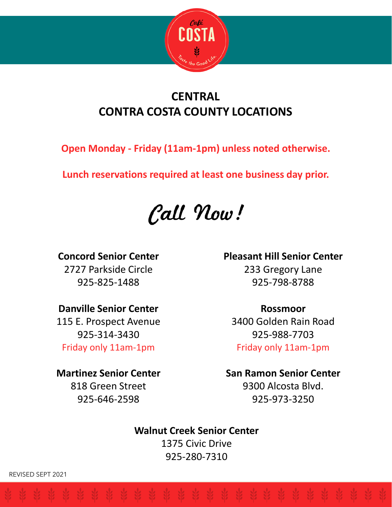

# **CENTRAL CONTRA COSTA COUNTY LOCATIONS**

**Open Monday - Friday (11am-1pm) unless noted otherwise.**

**Lunch reservations required at least one business day prior.**

Call Now!

**Concord Senior Center**

2727 Parkside Circle 925-825-1488

### **Danville Senior Center**

115 E. Prospect Avenue 925-314-3430 Friday only 11am-1pm

### **Martinez Senior Center**

818 Green Street 925-646-2598

# **Pleasant Hill Senior Center**

233 Gregory Lane 925-798-8788

### **Rossmoor**

3400 Golden Rain Road 925-988-7703 Friday only 11am-1pm

### **San Ramon Senior Center**

9300 Alcosta Blvd. 925-973-3250

# **Walnut Creek Senior Center**

1375 Civic Drive 925-280-7310

REVISED SEPT 2021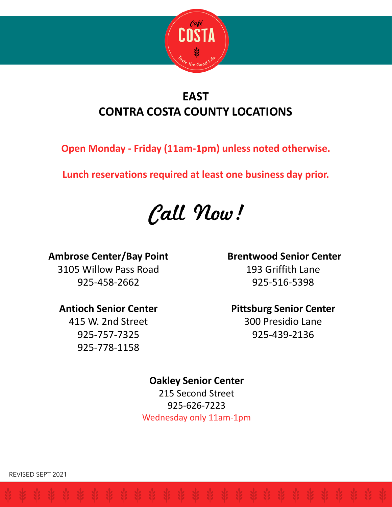

# **EAST CONTRA COSTA COUNTY LOCATIONS**

**Open Monday - Friday (11am-1pm) unless noted otherwise.**

**Lunch reservations required at least one business day prior.**

Call Now!

### **Ambrose Center/Bay Point**

3105 Willow Pass Road 925-458-2662

### **Antioch Senior Center**

415 W. 2nd Street 925-757-7325 925-778-1158

### **Brentwood Senior Center**

193 Griffith Lane 925-516-5398

### **Pittsburg Senior Center**

300 Presidio Lane 925-439-2136

### **Oakley Senior Center**

215 Second Street 925-626-7223 Wednesday only 11am-1pm

REVISED SEPT 2021